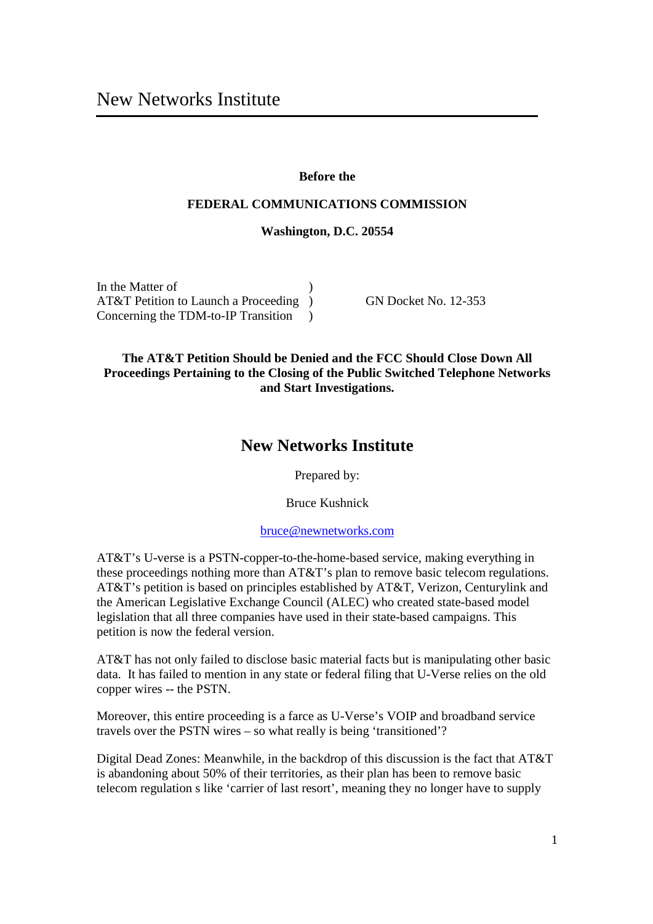### **Before the**

#### **FEDERAL COMMUNICATIONS COMMISSION**

#### **Washington, D.C. 20554**

In the Matter of (1) AT&T Petition to Launch a Proceeding ) GN Docket No. 12-353 Concerning the TDM-to-IP Transition )

### **The AT&T Petition Should be Denied and the FCC Should Close Down All Proceedings Pertaining to the Closing of the Public Switched Telephone Networks and Start Investigations.**

# **New Networks Institute**

Prepared by:

Bruce Kushnick

bruce@newnetworks.com

AT&T's U-verse is a PSTN-copper-to-the-home-based service, making everything in these proceedings nothing more than AT&T's plan to remove basic telecom regulations. AT&T's petition is based on principles established by AT&T, Verizon, Centurylink and the American Legislative Exchange Council (ALEC) who created state-based model legislation that all three companies have used in their state-based campaigns. This petition is now the federal version.

AT&T has not only failed to disclose basic material facts but is manipulating other basic data. It has failed to mention in any state or federal filing that U-Verse relies on the old copper wires -- the PSTN.

Moreover, this entire proceeding is a farce as U-Verse's VOIP and broadband service travels over the PSTN wires – so what really is being 'transitioned'?

Digital Dead Zones: Meanwhile, in the backdrop of this discussion is the fact that AT&T is abandoning about 50% of their territories, as their plan has been to remove basic telecom regulation s like 'carrier of last resort', meaning they no longer have to supply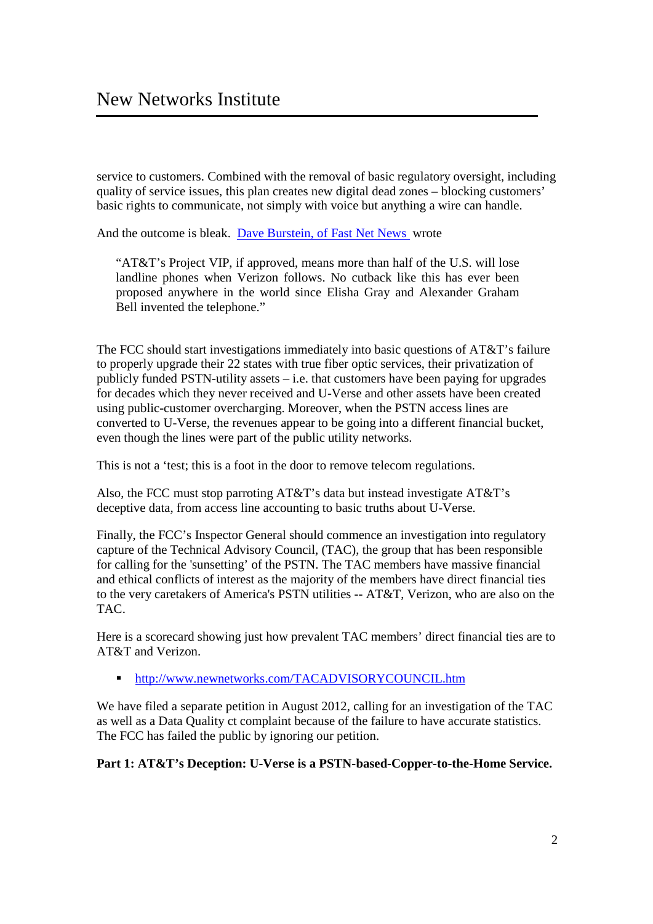service to customers. Combined with the removal of basic regulatory oversight, including quality of service issues, this plan creates new digital dead zones – blocking customers' basic rights to communicate, not simply with voice but anything a wire can handle.

And the outcome is bleak. Dave Burstein, of Fast Net News wrote

"AT&T's Project VIP, if approved, means more than half of the U.S. will lose landline phones when Verizon follows. No cutback like this has ever been proposed anywhere in the world since Elisha Gray and Alexander Graham Bell invented the telephone."

The FCC should start investigations immediately into basic questions of AT&T's failure to properly upgrade their 22 states with true fiber optic services, their privatization of publicly funded PSTN-utility assets  $-$  i.e. that customers have been paying for upgrades for decades which they never received and U-Verse and other assets have been created using public-customer overcharging. Moreover, when the PSTN access lines are converted to U-Verse, the revenues appear to be going into a different financial bucket, even though the lines were part of the public utility networks.

This is not a 'test; this is a foot in the door to remove telecom regulations.

Also, the FCC must stop parroting AT&T's data but instead investigate AT&T's deceptive data, from access line accounting to basic truths about U-Verse.

Finally, the FCC's Inspector General should commence an investigation into regulatory capture of the Technical Advisory Council, (TAC), the group that has been responsible for calling for the 'sunsetting' of the PSTN. The TAC members have massive financial and ethical conflicts of interest as the majority of the members have direct financial ties to the very caretakers of America's PSTN utilities -- AT&T, Verizon, who are also on the TAC.

Here is a scorecard showing just how prevalent TAC members' direct financial ties are to AT&T and Verizon.

■ http://www.newnetworks.com/TACADVISORYCOUNCIL.htm

We have filed a separate petition in August 2012, calling for an investigation of the TAC as well as a Data Quality ct complaint because of the failure to have accurate statistics. The FCC has failed the public by ignoring our petition.

**Part 1: AT&T's Deception: U-Verse is a PSTN-based-Copper-to-the-Home Service.**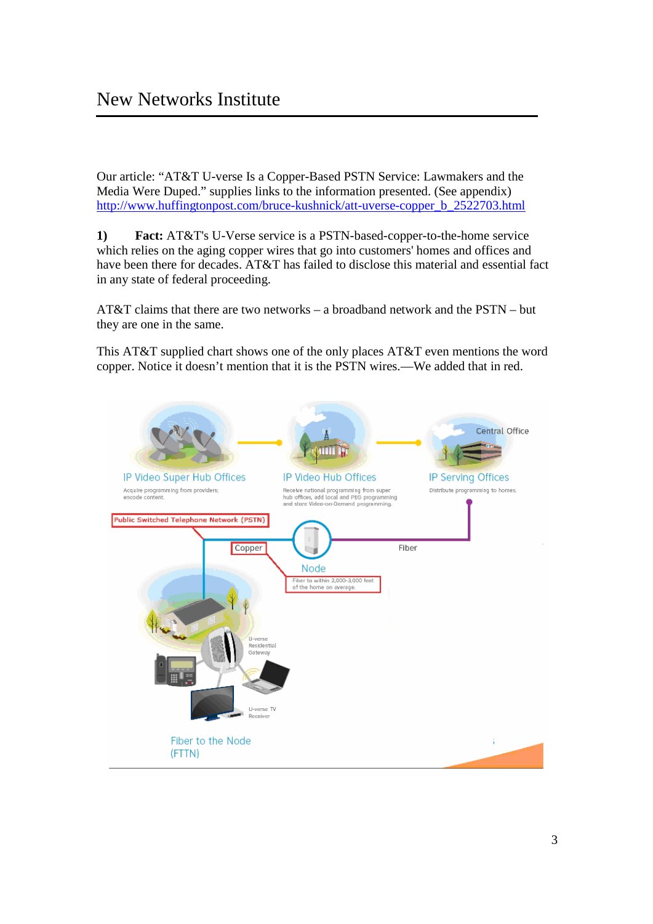Our article: "AT&T U-verse Is a Copper-Based PSTN Service: Lawmakers and the Media Were Duped." supplies links to the information presented. (See appendix) http://www.huffingtonpost.com/bruce-kushnick/att-uverse-copper\_b\_2522703.html

**1) Fact:** AT&T's U-Verse service is a PSTN-based-copper-to-the-home service which relies on the aging copper wires that go into customers' homes and offices and have been there for decades. AT&T has failed to disclose this material and essential fact in any state of federal proceeding.

AT&T claims that there are two networks – a broadband network and the PSTN – but they are one in the same.

This AT&T supplied chart shows one of the only places AT&T even mentions the word copper. Notice it doesn't mention that it is the PSTN wires.—We added that in red.

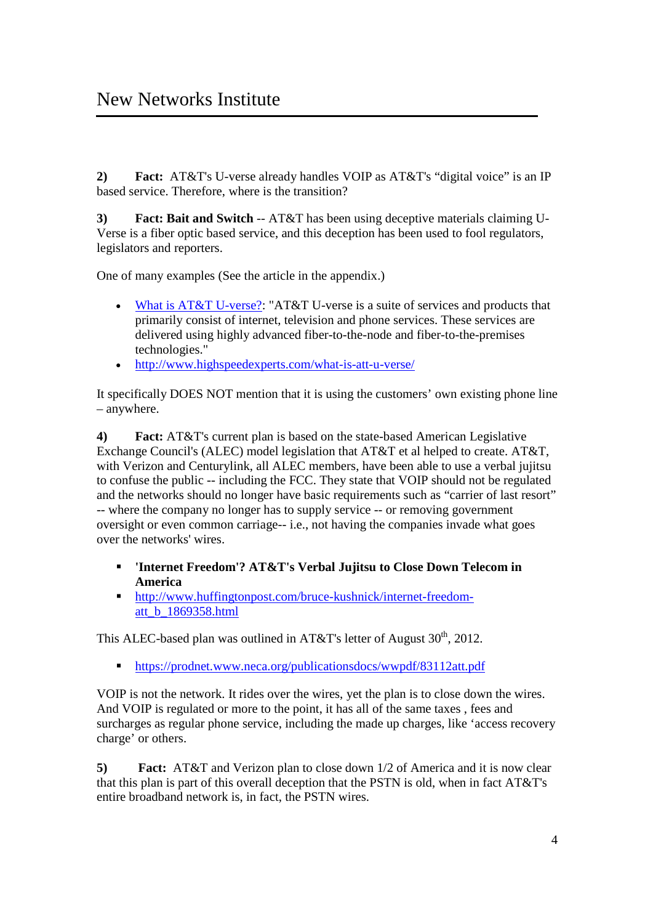**2) Fact:** AT&T's U-verse already handles VOIP as AT&T's "digital voice" is an IP based service. Therefore, where is the transition?

**3) Fact: Bait and Switch** -- AT&T has been using deceptive materials claiming U-Verse is a fiber optic based service, and this deception has been used to fool regulators, legislators and reporters.

One of many examples (See the article in the appendix.)

- What is AT&T U-verse?: "AT&T U-verse is a suite of services and products that primarily consist of internet, television and phone services. These services are delivered using highly advanced fiber-to-the-node and fiber-to-the-premises technologies."
- · http://www.highspeedexperts.com/what-is-att-u-verse/

It specifically DOES NOT mention that it is using the customers' own existing phone line – anywhere.

**4) Fact:** AT&T's current plan is based on the state-based American Legislative Exchange Council's (ALEC) model legislation that AT&T et al helped to create. AT&T, with Verizon and Centurylink, all ALEC members, have been able to use a verbal jujitsu to confuse the public -- including the FCC. They state that VOIP should not be regulated and the networks should no longer have basic requirements such as "carrier of last resort" -- where the company no longer has to supply service -- or removing government oversight or even common carriage-- i.e., not having the companies invade what goes over the networks' wires.

- § **'Internet Freedom'? AT&T's Verbal Jujitsu to Close Down Telecom in America**
- http://www.huffingtonpost.com/bruce-kushnick/internet-freedomatt\_b\_1869358.html

This ALEC-based plan was outlined in AT&T's letter of August  $30<sup>th</sup>$ , 2012.

■ https://prodnet.www.neca.org/publicationsdocs/wwpdf/83112att.pdf

VOIP is not the network. It rides over the wires, yet the plan is to close down the wires. And VOIP is regulated or more to the point, it has all of the same taxes , fees and surcharges as regular phone service, including the made up charges, like 'access recovery charge' or others.

**5) Fact:** AT&T and Verizon plan to close down 1/2 of America and it is now clear that this plan is part of this overall deception that the PSTN is old, when in fact AT&T's entire broadband network is, in fact, the PSTN wires.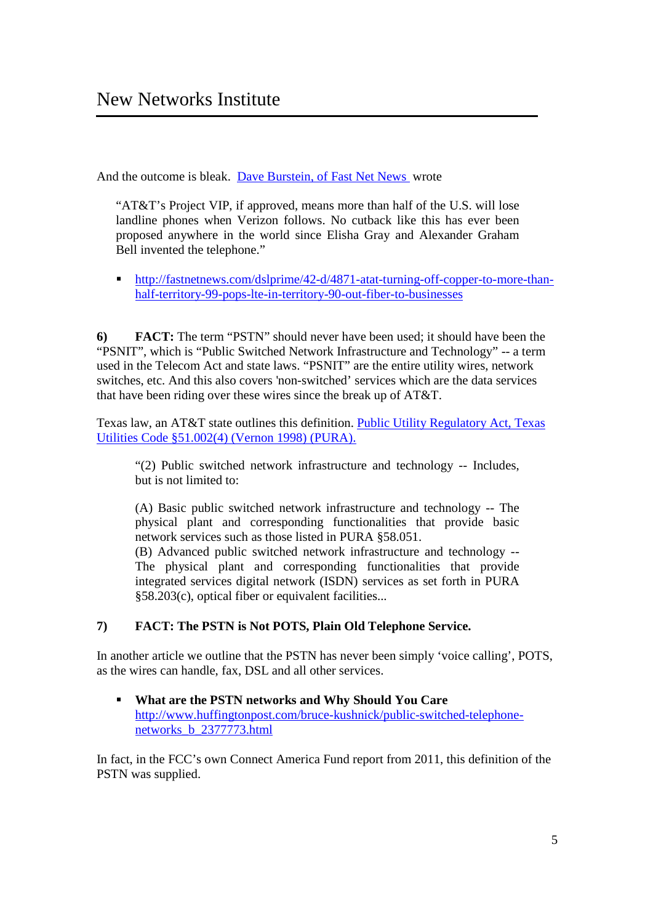And the outcome is bleak. Dave Burstein, of Fast Net News wrote

"AT&T's Project VIP, if approved, means more than half of the U.S. will lose landline phones when Verizon follows. No cutback like this has ever been proposed anywhere in the world since Elisha Gray and Alexander Graham Bell invented the telephone."

■ http://fastnetnews.com/dslprime/42-d/4871-atat-turning-off-copper-to-more-thanhalf-territory-99-pops-lte-in-territory-90-out-fiber-to-businesses

**6) FACT:** The term "PSTN" should never have been used; it should have been the "PSNIT", which is "Public Switched Network Infrastructure and Technology" -- a term used in the Telecom Act and state laws. "PSNIT" are the entire utility wires, network switches, etc. And this also covers 'non-switched' services which are the data services that have been riding over these wires since the break up of AT&T.

Texas law, an AT&T state outlines this definition. Public Utility Regulatory Act, Texas Utilities Code §51.002(4) (Vernon 1998) (PURA).

"(2) Public switched network infrastructure and technology -- Includes, but is not limited to:

(A) Basic public switched network infrastructure and technology -- The physical plant and corresponding functionalities that provide basic network services such as those listed in PURA §58.051.

(B) Advanced public switched network infrastructure and technology -- The physical plant and corresponding functionalities that provide integrated services digital network (ISDN) services as set forth in PURA §58.203(c), optical fiber or equivalent facilities...

**7) FACT: The PSTN is Not POTS, Plain Old Telephone Service.** 

In another article we outline that the PSTN has never been simply 'voice calling', POTS, as the wires can handle, fax, DSL and all other services.

§ **What are the PSTN networks and Why Should You Care** http://www.huffingtonpost.com/bruce-kushnick/public-switched-telephonenetworks\_b\_2377773.html

In fact, in the FCC's own Connect America Fund report from 2011, this definition of the PSTN was supplied.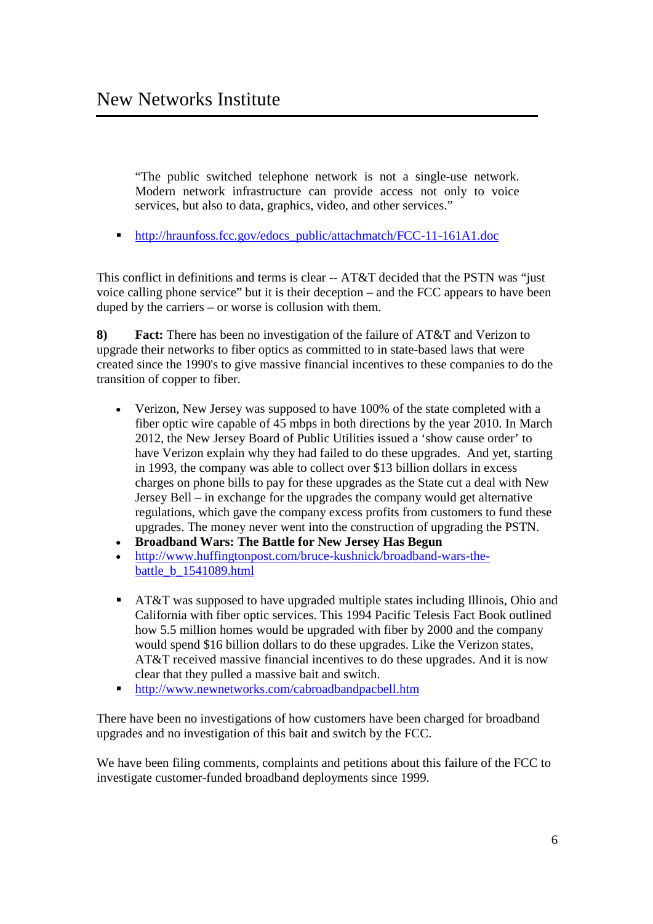"The public switched telephone network is not a single-use network. Modern network infrastructure can provide access not only to voice services, but also to data, graphics, video, and other services."

§ http://hraunfoss.fcc.gov/edocs\_public/attachmatch/FCC-11-161A1.doc

This conflict in definitions and terms is clear -- AT&T decided that the PSTN was "just voice calling phone service" but it is their deception – and the FCC appears to have been duped by the carriers – or worse is collusion with them.

**8) Fact:** There has been no investigation of the failure of AT&T and Verizon to upgrade their networks to fiber optics as committed to in state-based laws that were created since the 1990's to give massive financial incentives to these companies to do the transition of copper to fiber.

- · Verizon, New Jersey was supposed to have 100% of the state completed with a fiber optic wire capable of 45 mbps in both directions by the year 2010. In March 2012, the New Jersey Board of Public Utilities issued a 'show cause order' to have Verizon explain why they had failed to do these upgrades. And yet, starting in 1993, the company was able to collect over \$13 billion dollars in excess charges on phone bills to pay for these upgrades as the State cut a deal with New Jersey Bell – in exchange for the upgrades the company would get alternative regulations, which gave the company excess profits from customers to fund these upgrades. The money never went into the construction of upgrading the PSTN.
- · **Broadband Wars: The Battle for New Jersey Has Begun**
- · http://www.huffingtonpost.com/bruce-kushnick/broadband-wars-thebattle\_b\_1541089.html
- AT&T was supposed to have upgraded multiple states including Illinois, Ohio and California with fiber optic services. This 1994 Pacific Telesis Fact Book outlined how 5.5 million homes would be upgraded with fiber by 2000 and the company would spend \$16 billion dollars to do these upgrades. Like the Verizon states, AT&T received massive financial incentives to do these upgrades. And it is now clear that they pulled a massive bait and switch.
- § http://www.newnetworks.com/cabroadbandpacbell.htm

There have been no investigations of how customers have been charged for broadband upgrades and no investigation of this bait and switch by the FCC.

We have been filing comments, complaints and petitions about this failure of the FCC to investigate customer-funded broadband deployments since 1999.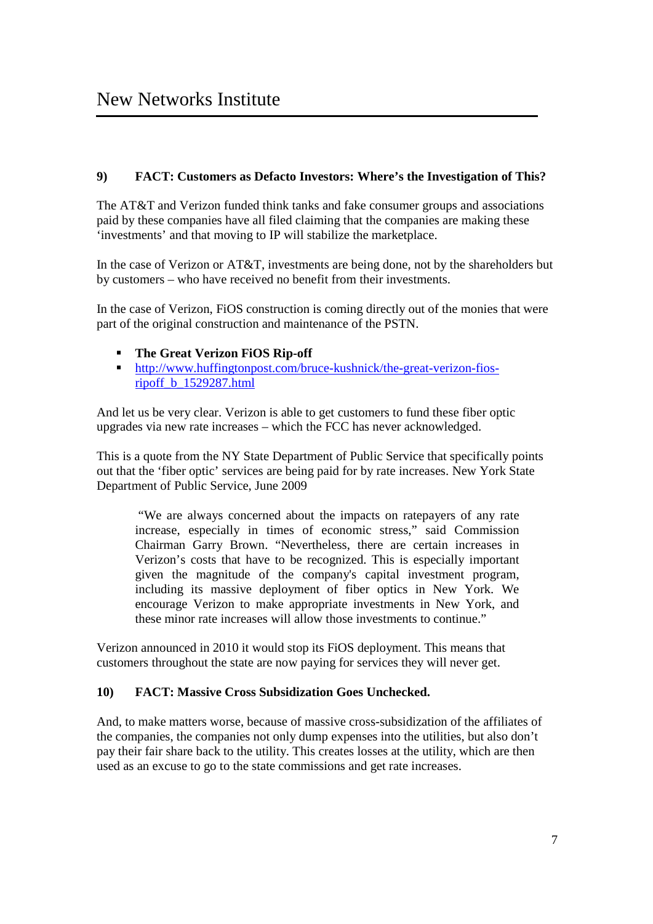## **9) FACT: Customers as Defacto Investors: Where's the Investigation of This?**

The AT&T and Verizon funded think tanks and fake consumer groups and associations paid by these companies have all filed claiming that the companies are making these 'investments' and that moving to IP will stabilize the marketplace.

In the case of Verizon or AT&T, investments are being done, not by the shareholders but by customers – who have received no benefit from their investments.

In the case of Verizon, FiOS construction is coming directly out of the monies that were part of the original construction and maintenance of the PSTN.

- § **The Great Verizon FiOS Rip-off**
- § http://www.huffingtonpost.com/bruce-kushnick/the-great-verizon-fiosripoff\_b\_1529287.html

And let us be very clear. Verizon is able to get customers to fund these fiber optic upgrades via new rate increases – which the FCC has never acknowledged.

This is a quote from the NY State Department of Public Service that specifically points out that the 'fiber optic' services are being paid for by rate increases. New York State Department of Public Service, June 2009

 "We are always concerned about the impacts on ratepayers of any rate increase, especially in times of economic stress," said Commission Chairman Garry Brown. "Nevertheless, there are certain increases in Verizon's costs that have to be recognized. This is especially important given the magnitude of the company's capital investment program, including its massive deployment of fiber optics in New York. We encourage Verizon to make appropriate investments in New York, and these minor rate increases will allow those investments to continue."

Verizon announced in 2010 it would stop its FiOS deployment. This means that customers throughout the state are now paying for services they will never get.

### **10) FACT: Massive Cross Subsidization Goes Unchecked.**

And, to make matters worse, because of massive cross-subsidization of the affiliates of the companies, the companies not only dump expenses into the utilities, but also don't pay their fair share back to the utility. This creates losses at the utility, which are then used as an excuse to go to the state commissions and get rate increases.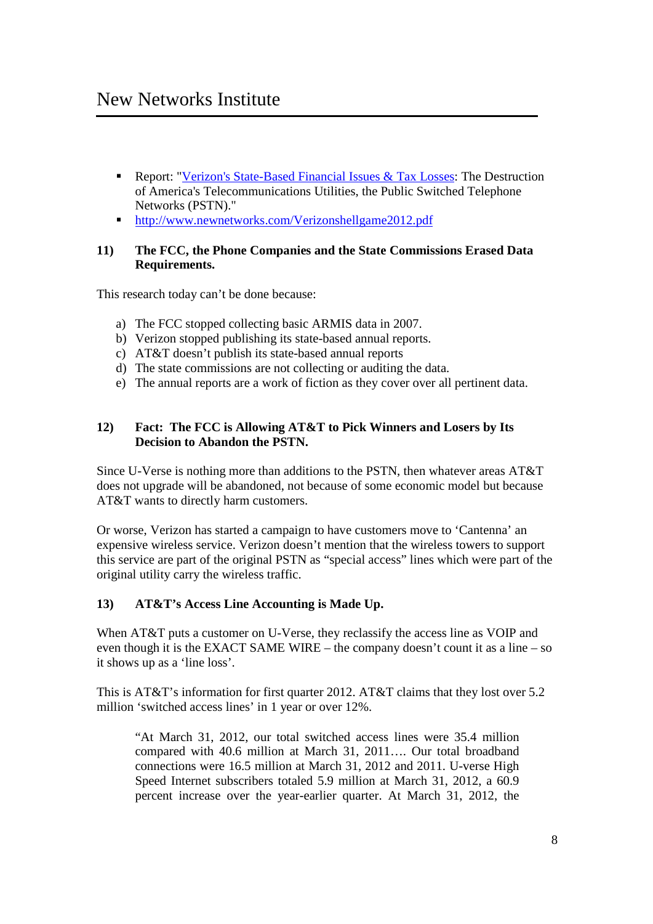- Report: "Verizon's State-Based Financial Issues & Tax Losses: The Destruction of America's Telecommunications Utilities, the Public Switched Telephone Networks (PSTN)."
- http://www.newnetworks.com/Verizonshellgame2012.pdf

### **11) The FCC, the Phone Companies and the State Commissions Erased Data Requirements.**

This research today can't be done because:

- a) The FCC stopped collecting basic ARMIS data in 2007.
- b) Verizon stopped publishing its state-based annual reports.
- c) AT&T doesn't publish its state-based annual reports
- d) The state commissions are not collecting or auditing the data.
- e) The annual reports are a work of fiction as they cover over all pertinent data.

## **12) Fact: The FCC is Allowing AT&T to Pick Winners and Losers by Its Decision to Abandon the PSTN.**

Since U-Verse is nothing more than additions to the PSTN, then whatever areas AT&T does not upgrade will be abandoned, not because of some economic model but because AT&T wants to directly harm customers.

Or worse, Verizon has started a campaign to have customers move to 'Cantenna' an expensive wireless service. Verizon doesn't mention that the wireless towers to support this service are part of the original PSTN as "special access" lines which were part of the original utility carry the wireless traffic.

# **13) AT&T's Access Line Accounting is Made Up.**

When AT&T puts a customer on U-Verse, they reclassify the access line as VOIP and even though it is the EXACT SAME WIRE – the company doesn't count it as a line – so it shows up as a 'line loss'.

This is AT&T's information for first quarter 2012. AT&T claims that they lost over 5.2 million 'switched access lines' in 1 year or over 12%.

"At March 31, 2012, our total switched access lines were 35.4 million compared with 40.6 million at March 31, 2011…. Our total broadband connections were 16.5 million at March 31, 2012 and 2011. U-verse High Speed Internet subscribers totaled 5.9 million at March 31, 2012, a 60.9 percent increase over the year-earlier quarter. At March 31, 2012, the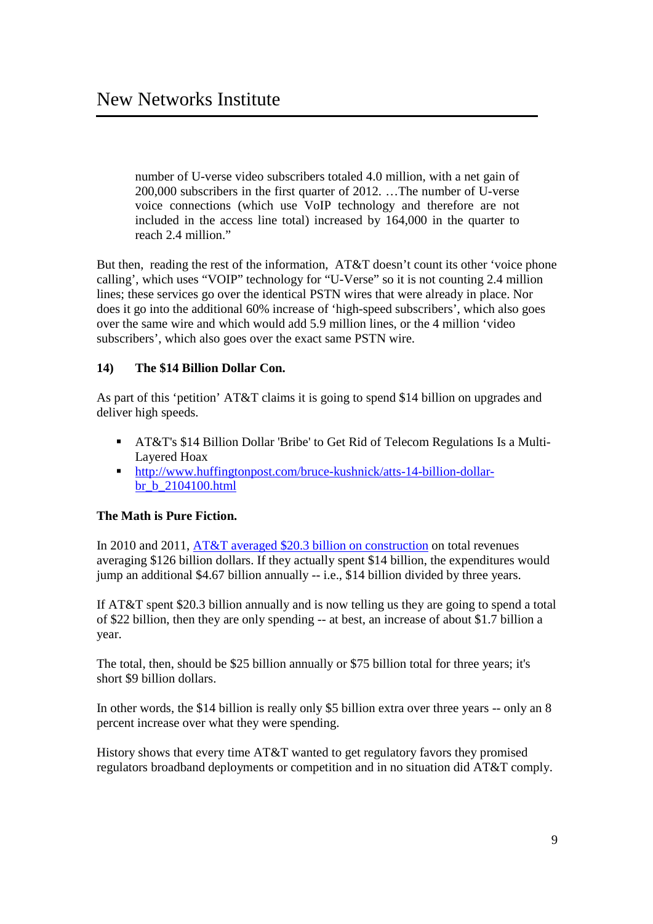number of U-verse video subscribers totaled 4.0 million, with a net gain of 200,000 subscribers in the first quarter of 2012. …The number of U-verse voice connections (which use VoIP technology and therefore are not included in the access line total) increased by 164,000 in the quarter to reach 2.4 million."

But then, reading the rest of the information, AT&T doesn't count its other 'voice phone calling', which uses "VOIP" technology for "U-Verse" so it is not counting 2.4 million lines; these services go over the identical PSTN wires that were already in place. Nor does it go into the additional 60% increase of 'high-speed subscribers', which also goes over the same wire and which would add 5.9 million lines, or the 4 million 'video subscribers', which also goes over the exact same PSTN wire.

# **14) The \$14 Billion Dollar Con.**

As part of this 'petition' AT&T claims it is going to spend \$14 billion on upgrades and deliver high speeds.

- § AT&T's \$14 Billion Dollar 'Bribe' to Get Rid of Telecom Regulations Is a Multi-Layered Hoax
- http://www.huffingtonpost.com/bruce-kushnick/atts-14-billion-dollarbr\_b\_2104100.html

# **The Math is Pure Fiction.**

In 2010 and 2011, AT&T averaged \$20.3 billion on construction on total revenues averaging \$126 billion dollars. If they actually spent \$14 billion, the expenditures would jump an additional \$4.67 billion annually -- i.e., \$14 billion divided by three years.

If AT&T spent \$20.3 billion annually and is now telling us they are going to spend a total of \$22 billion, then they are only spending -- at best, an increase of about \$1.7 billion a year.

The total, then, should be \$25 billion annually or \$75 billion total for three years; it's short \$9 billion dollars.

In other words, the \$14 billion is really only \$5 billion extra over three years -- only an 8 percent increase over what they were spending.

History shows that every time AT&T wanted to get regulatory favors they promised regulators broadband deployments or competition and in no situation did AT&T comply.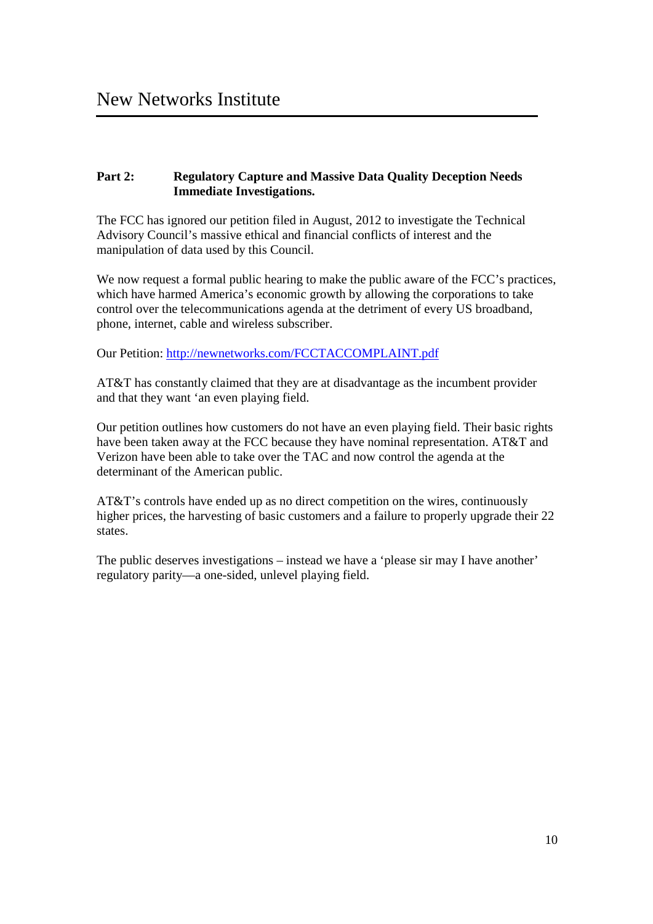# **Part 2: Regulatory Capture and Massive Data Quality Deception Needs Immediate Investigations.**

The FCC has ignored our petition filed in August, 2012 to investigate the Technical Advisory Council's massive ethical and financial conflicts of interest and the manipulation of data used by this Council.

We now request a formal public hearing to make the public aware of the FCC's practices, which have harmed America's economic growth by allowing the corporations to take control over the telecommunications agenda at the detriment of every US broadband, phone, internet, cable and wireless subscriber.

Our Petition: http://newnetworks.com/FCCTACCOMPLAINT.pdf

AT&T has constantly claimed that they are at disadvantage as the incumbent provider and that they want 'an even playing field.

Our petition outlines how customers do not have an even playing field. Their basic rights have been taken away at the FCC because they have nominal representation. AT&T and Verizon have been able to take over the TAC and now control the agenda at the determinant of the American public.

AT&T's controls have ended up as no direct competition on the wires, continuously higher prices, the harvesting of basic customers and a failure to properly upgrade their 22 states.

The public deserves investigations – instead we have a 'please sir may I have another' regulatory parity—a one-sided, unlevel playing field.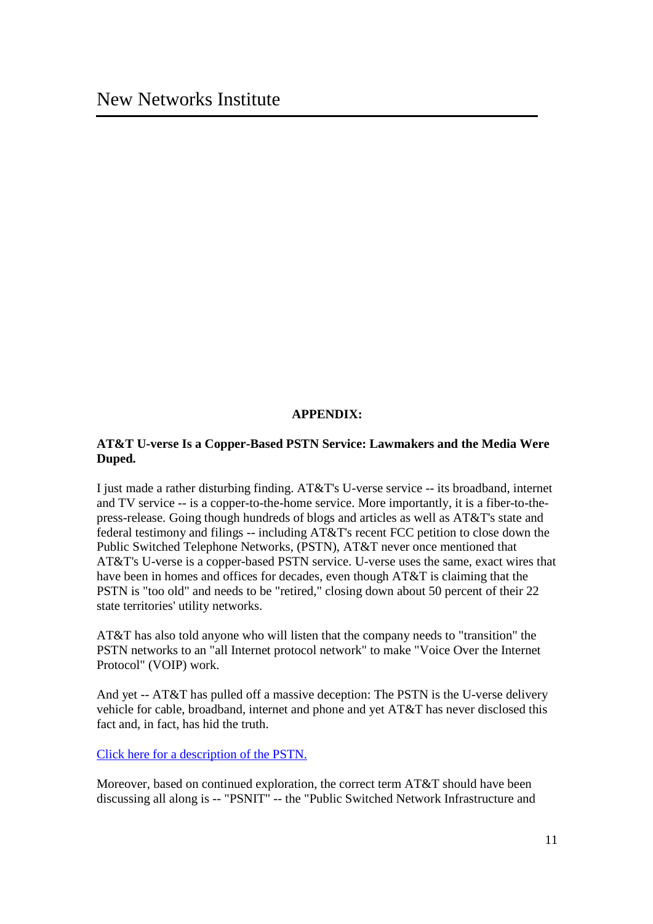### **APPENDIX:**

### **AT&T U-verse Is a Copper-Based PSTN Service: Lawmakers and the Media Were Duped.**

I just made a rather disturbing finding. AT&T's U-verse service -- its broadband, internet and TV service -- is a copper-to-the-home service. More importantly, it is a fiber-to-thepress-release. Going though hundreds of blogs and articles as well as AT&T's state and federal testimony and filings -- including AT&T's recent FCC petition to close down the Public Switched Telephone Networks, (PSTN), AT&T never once mentioned that AT&T's U-verse is a copper-based PSTN service. U-verse uses the same, exact wires that have been in homes and offices for decades, even though AT&T is claiming that the PSTN is "too old" and needs to be "retired," closing down about 50 percent of their 22 state territories' utility networks.

AT&T has also told anyone who will listen that the company needs to "transition" the PSTN networks to an "all Internet protocol network" to make "Voice Over the Internet Protocol" (VOIP) work.

And yet -- AT&T has pulled off a massive deception: The PSTN is the U-verse delivery vehicle for cable, broadband, internet and phone and yet AT&T has never disclosed this fact and, in fact, has hid the truth.

Click here for a description of the PSTN.

Moreover, based on continued exploration, the correct term AT&T should have been discussing all along is -- "PSNIT" -- the "Public Switched Network Infrastructure and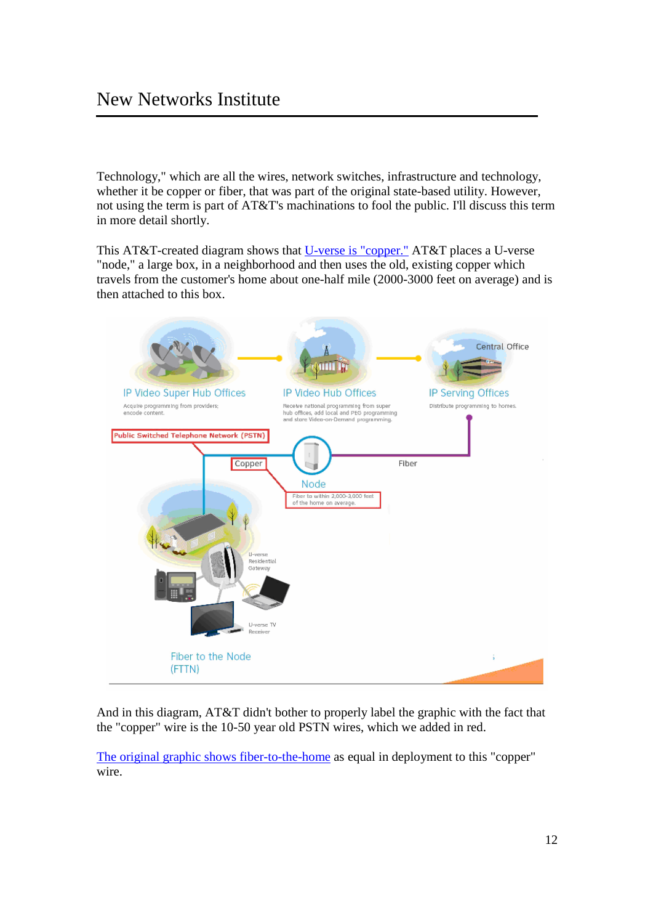Technology," which are all the wires, network switches, infrastructure and technology, whether it be copper or fiber, that was part of the original state-based utility. However, not using the term is part of AT&T's machinations to fool the public. I'll discuss this term in more detail shortly.

This AT&T-created diagram shows that U-verse is "copper." AT&T places a U-verse "node," a large box, in a neighborhood and then uses the old, existing copper which travels from the customer's home about one-half mile (2000-3000 feet on average) and is then attached to this box.



And in this diagram, AT&T didn't bother to properly label the graphic with the fact that the "copper" wire is the 10-50 year old PSTN wires, which we added in red.

The original graphic shows fiber-to-the-home as equal in deployment to this "copper" wire.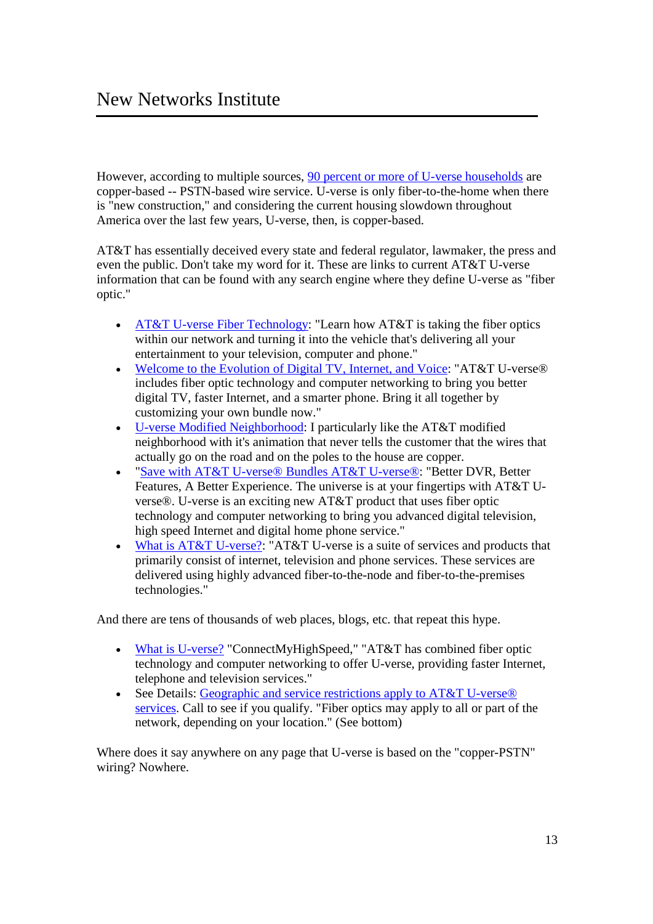However, according to multiple sources, 90 percent or more of U-verse households are copper-based -- PSTN-based wire service. U-verse is only fiber-to-the-home when there is "new construction," and considering the current housing slowdown throughout America over the last few years, U-verse, then, is copper-based.

AT&T has essentially deceived every state and federal regulator, lawmaker, the press and even the public. Don't take my word for it. These are links to current AT&T U-verse information that can be found with any search engine where they define U-verse as "fiber optic."

- AT&T U-verse Fiber Technology: "Learn how AT&T is taking the fiber optics within our network and turning it into the vehicle that's delivering all your entertainment to your television, computer and phone."
- · Welcome to the Evolution of Digital TV, Internet, and Voice: "AT&T U-verse® includes fiber optic technology and computer networking to bring you better digital TV, faster Internet, and a smarter phone. Bring it all together by customizing your own bundle now."
- · U-verse Modified Neighborhood: I particularly like the AT&T modified neighborhood with it's animation that never tells the customer that the wires that actually go on the road and on the poles to the house are copper.
- · "Save with AT&T U-verse® Bundles AT&T U-verse®: "Better DVR, Better Features, A Better Experience. The universe is at your fingertips with AT&T Uverse®. U-verse is an exciting new AT&T product that uses fiber optic technology and computer networking to bring you advanced digital television, high speed Internet and digital home phone service."
- What is AT&T U-verse?: "AT&T U-verse is a suite of services and products that primarily consist of internet, television and phone services. These services are delivered using highly advanced fiber-to-the-node and fiber-to-the-premises technologies."

And there are tens of thousands of web places, blogs, etc. that repeat this hype.

- · What is U-verse? "ConnectMyHighSpeed," "AT&T has combined fiber optic technology and computer networking to offer U-verse, providing faster Internet, telephone and television services."
- See Details: Geographic and service restrictions apply to AT&T U-verse® services. Call to see if you qualify. "Fiber optics may apply to all or part of the network, depending on your location." (See bottom)

Where does it say anywhere on any page that U-verse is based on the "copper-PSTN" wiring? Nowhere.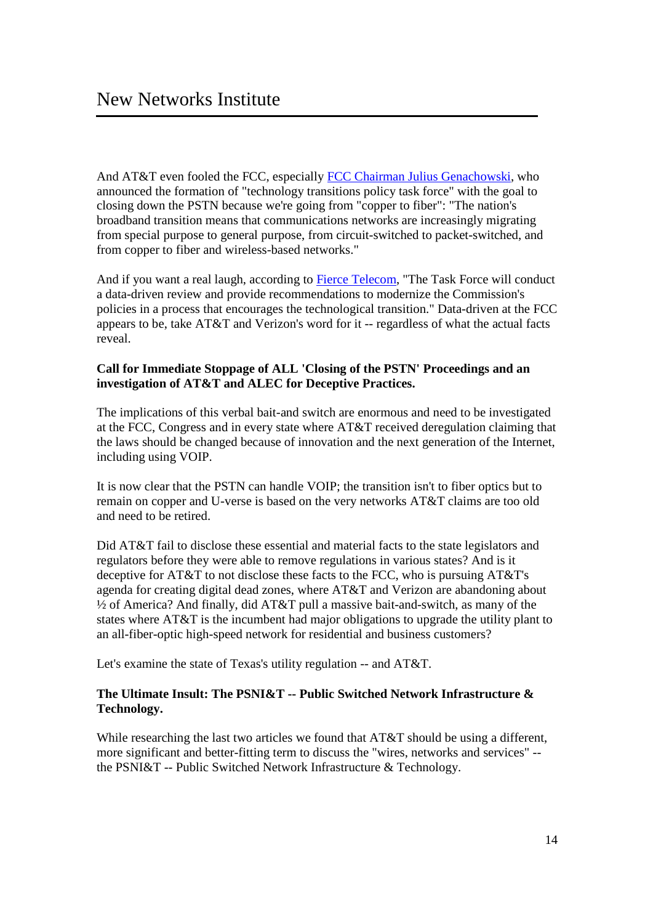And AT&T even fooled the FCC, especially FCC Chairman Julius Genachowski, who announced the formation of "technology transitions policy task force" with the goal to closing down the PSTN because we're going from "copper to fiber": "The nation's broadband transition means that communications networks are increasingly migrating from special purpose to general purpose, from circuit-switched to packet-switched, and from copper to fiber and wireless-based networks."

And if you want a real laugh, according to Fierce Telecom, "The Task Force will conduct a data-driven review and provide recommendations to modernize the Commission's policies in a process that encourages the technological transition." Data-driven at the FCC appears to be, take AT&T and Verizon's word for it -- regardless of what the actual facts reveal.

### **Call for Immediate Stoppage of ALL 'Closing of the PSTN' Proceedings and an investigation of AT&T and ALEC for Deceptive Practices.**

The implications of this verbal bait-and switch are enormous and need to be investigated at the FCC, Congress and in every state where AT&T received deregulation claiming that the laws should be changed because of innovation and the next generation of the Internet, including using VOIP.

It is now clear that the PSTN can handle VOIP; the transition isn't to fiber optics but to remain on copper and U-verse is based on the very networks AT&T claims are too old and need to be retired.

Did AT&T fail to disclose these essential and material facts to the state legislators and regulators before they were able to remove regulations in various states? And is it deceptive for AT&T to not disclose these facts to the FCC, who is pursuing AT&T's agenda for creating digital dead zones, where AT&T and Verizon are abandoning about ½ of America? And finally, did AT&T pull a massive bait-and-switch, as many of the states where AT&T is the incumbent had major obligations to upgrade the utility plant to an all-fiber-optic high-speed network for residential and business customers?

Let's examine the state of Texas's utility regulation -- and AT&T.

## **The Ultimate Insult: The PSNI&T -- Public Switched Network Infrastructure & Technology.**

While researching the last two articles we found that AT&T should be using a different, more significant and better-fitting term to discuss the "wires, networks and services" - the PSNI&T -- Public Switched Network Infrastructure & Technology.